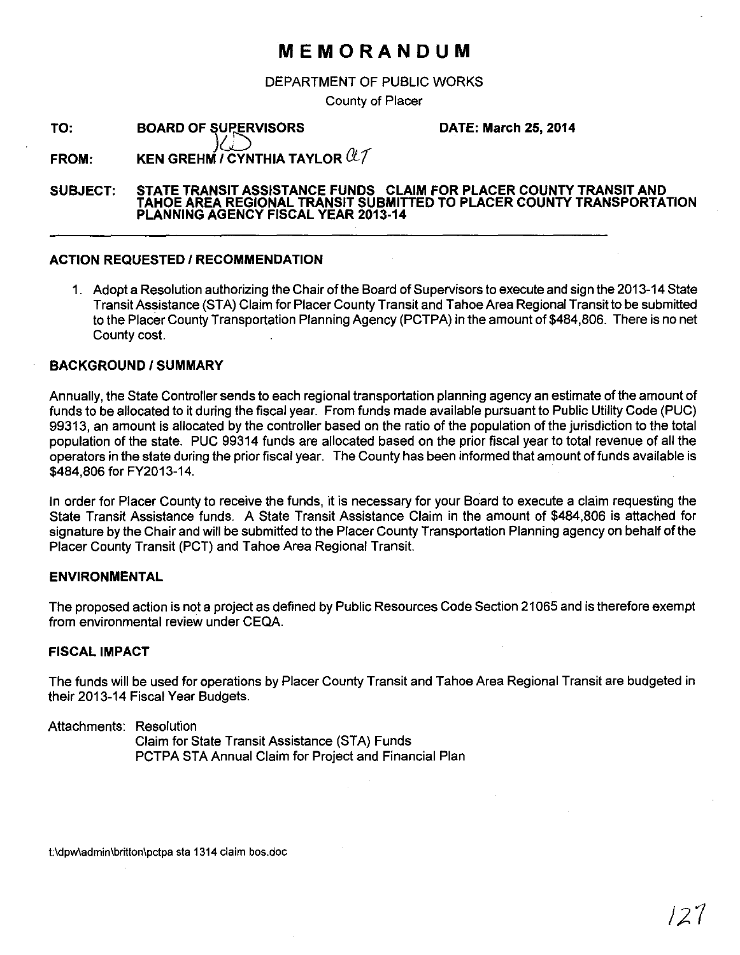# **MEMORANDUM**

DEPARTMENT OF PUBLIC WORKS

County of Placer

**TO: BOARD OF SUPERVISORS**  **DATE: March 25, 2014** 

**FROM: KEN GREHM** *I* **CYNTHIA TAYLOR**  $\mathcal{U}\mathcal{T}$ 

#### **SUBJECT: STATE TRANSIT ASSISTANCE FUNDS CLAIM FOR PLACER COUNTY TRANSIT AND TAHOE AREA REGIONAL TRANSIT SUBMITTED TO PLACER COUNTY TRANSPORTATION PLANNING AGENCY FISCAL YEAR 2013-14**

### **ACTION REQUESTED I RECOMMENDATION**

1. Adopt a Resolution authorizing the Chair of the Board of Supervisors to execute and sign the 2013-14 State Transit Assistance (STA) Claim for Placer County Transit and Tahoe Area Regional Transit to be submitted to the Placer County Transportation Planning Agency (PCTPA) in the amount of \$484,806. There is no net County cost.

## **BACKGROUND/SUMMARY**

Annually, the State Controller sends to each regional transportation planning agency an estimate of the amount of funds to be allocated to it during the fiscal year. From funds made available pursuant to Public Utility Code (PUC) 99313, an amount is allocated by the controller based on the ratio of the population of the jurisdiction to the total population of the state. PUC 99314 funds are allocated based on the prior fiscal year to total revenue of all the operators in the state during the prior fiscal year. The County has been informed that amount of funds available is \$484,806 for FY2013-14.

In order for Placer County to receive the funds, it is necessary for your Board to execute a claim requesting the State Transit Assistance funds. A State Transit Assistance Claim in the amount of \$484,806 is attached for signature by the Chair and will be submitted to the Placer County Transportation Planning agency on behalf of the Placer County Transit (PCT) and Tahoe Area Regional Transit.

## **ENVIRONMENTAL**

The proposed action is not a project as defined by Public Resources Code Section 21065 and is therefore exempt from environmental review under CEQA.

### **FISCAL IMPACT**

The funds will be used for operations by Placer County Transit and Tahoe Area Regional Transit are budgeted in their 2013-14 Fiscal Year Budgets.

### Attachments: Resolution

Claim for State Transit Assistance (STA) Funds PCTPA STA Annual Claim for Project and Financial Plan

1:\dpw\admin\britton\pctpa sta 1314 claim bos.doc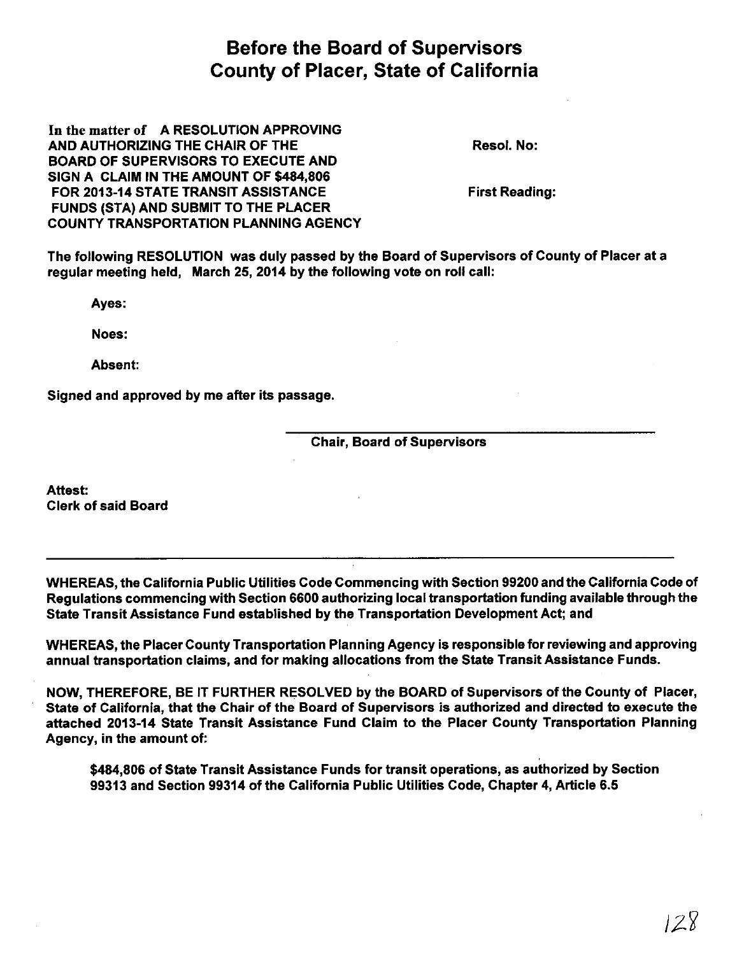# Before the Board of Supervisors County of Placer, State of California

In the matter of A RESOLUTION APPROVING AND AUTHORIZING THE CHAIR OF THE BOARD OF SUPERVISORS TO EXECUTE AND SIGN A CLAIM IN THE AMOUNT OF \$484,806 FOR 2013-14 STATE TRANSIT ASSISTANCE FUNDS (STA) AND SUBMIT TO THE PLACER COUNTY TRANSPORTATION PLANNING AGENCY

Resol. No:

First Reading:

The following RESOLUTION was duly passed by the Board of Supervisors of County of Placer at a regular meeting held, March 25, 2014 by the following vote on roll call:

Ayes:

Noes:

Absent:

Signed and approved by me after its passage.

Chair, Board of Supervisors

Attest: Clerk of said Board

WHEREAS, the California Public Utilities Code Commencing with Section 99200 and the California Code of Regulations commencing with Section 6600 authorizing local transportation funding available through the State Transit Assistance Fund established by the Transportation Development Act; and

WHEREAS, the Placer County Transportation Planning Agency is responsible for reviewing and approving annual transportation claims, and for making allocations from the State Transit Assistance Funds.

NOW, THEREFORE, BE IT FURTHER RESOLVED by the BOARD of Supervisors of the County of Placer, State of California, that the Chair of the Board of Supervisors is authorized and directed to execute the attached 2013-14 State Transit Assistance Fund Claim to the Placer County Transportation Planning Agency, in the amount of:

\$484,806 of State Transit Assistance Funds for transit operations, as authorized by Section 99313 and Section 99314 of the California Public Utilities Code, Chapter 4, Article 6.5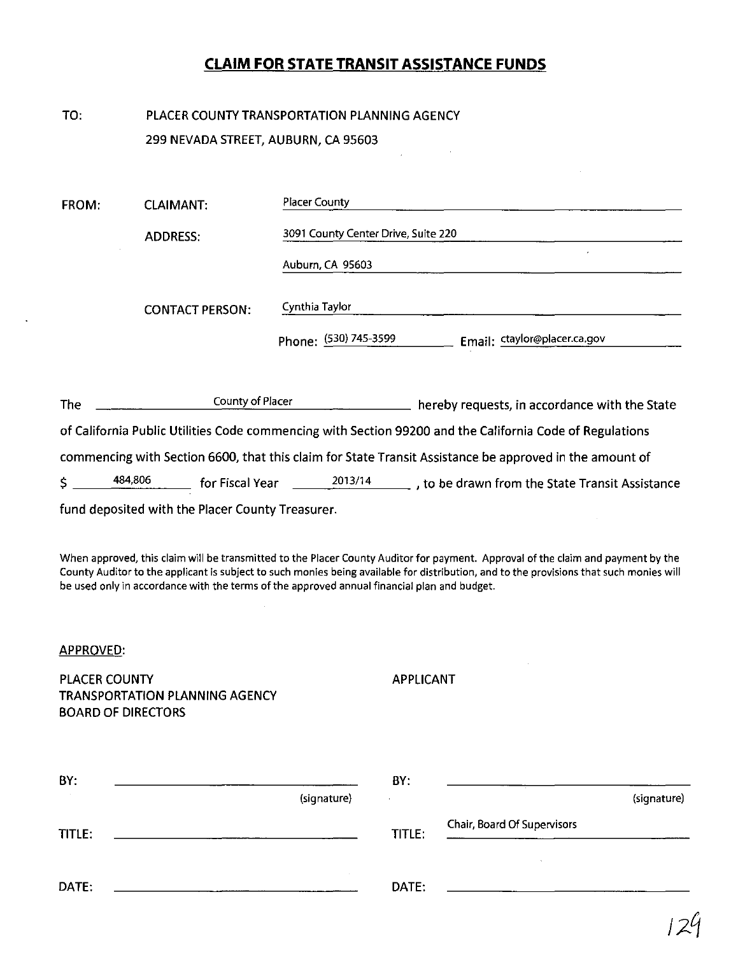# **CLAIM FOR STATE TRANSIT ASSISTANCE FUNDS**

TO: PLACER COUNTY TRANSPORTATION PLANNING AGENCY 299 NEVADA STREET, AUBURN, CA 95603

| <b>FROM:</b>                                                                                             | <b>CLAIMANT:</b>       | <b>Placer County</b>                                                                                    |  |  |  |  |  |  |  |
|----------------------------------------------------------------------------------------------------------|------------------------|---------------------------------------------------------------------------------------------------------|--|--|--|--|--|--|--|
|                                                                                                          | <b>ADDRESS:</b>        | 3091 County Center Drive, Suite 220                                                                     |  |  |  |  |  |  |  |
|                                                                                                          | <b>CONTACT PERSON:</b> | Auburn, CA 95603                                                                                        |  |  |  |  |  |  |  |
|                                                                                                          |                        | Cynthia Taylor                                                                                          |  |  |  |  |  |  |  |
|                                                                                                          |                        | Phone: (530) 745-3599<br>Email: ctaylor@placer.ca.gov                                                   |  |  |  |  |  |  |  |
| The                                                                                                      | County of Placer       | hereby requests, in accordance with the State                                                           |  |  |  |  |  |  |  |
| of California Public Utilities Code commencing with Section 99200 and the California Code of Regulations |                        |                                                                                                         |  |  |  |  |  |  |  |
|                                                                                                          |                        | commencing with Section 6600, that this claim for State Transit Assistance be approved in the amount of |  |  |  |  |  |  |  |
| 484,806<br>\$                                                                                            | for Fiscal Year        | 2013/14<br>$\_$ , to be drawn from the State Transit Assistance                                         |  |  |  |  |  |  |  |

fund deposited with the Placer County Treasurer.

When approved, this claim will be transmitted to the Placer County Auditor for payment. Approval of the claim and payment by the County Auditor to the applicant is subject to such monies being available for distribution, and to the provisions that such monies will be used only in accordance with the terms of the approved annual financial plan and budget.

### APPROVED:

PLACER COUNTY TRANSPORTATION PLANNING AGENCY BOARD OF DIRECTORS

APPLICANT

| BY:    |             | BY:    |                             |  |
|--------|-------------|--------|-----------------------------|--|
| $\sim$ | (signature) |        | (signature)                 |  |
| TITLE: |             | TITLE: | Chair, Board Of Supervisors |  |
| DATE:  |             | DATE:  |                             |  |